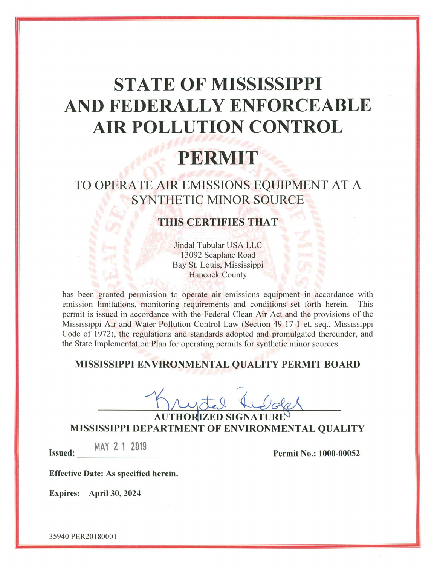# **STATE OF MISSISSIPPI** AND FEDERALLY ENFORCEABLE **AIR POLLUTION CONTROL**

# PERMIT

## TO OPERATE AIR EMISSIONS EQUIPMENT AT A **SYNTHETIC MINOR SOURCE**

### **THIS CERTIFIES THAT**

Jindal Tubular USA LLC 13092 Seaplane Road Bay St. Louis, Mississippi **Hancock County** 

has been granted permission to operate air emissions equipment in accordance with emission limitations, monitoring requirements and conditions set forth herein. This permit is issued in accordance with the Federal Clean Air Act and the provisions of the Mississippi Air and Water Pollution Control Law (Section 49-17-1 et. seq., Mississippi Code of 1972), the regulations and standards adopted and promulgated thereunder, and the State Implementation Plan for operating permits for synthetic minor sources.

### MISSISSIPPI ENVIRONMENTAL QUALITY PERMIT BOARD

AUTHORIZED SIGNA MISSISSIPPI DEPARTMENT OF ENVIRONMENTAL QUALITY

MAY 2 1 2019

Permit No.: 1000-00052

Effective Date: As specified herein.

Expires: April 30, 2024

**Issued:**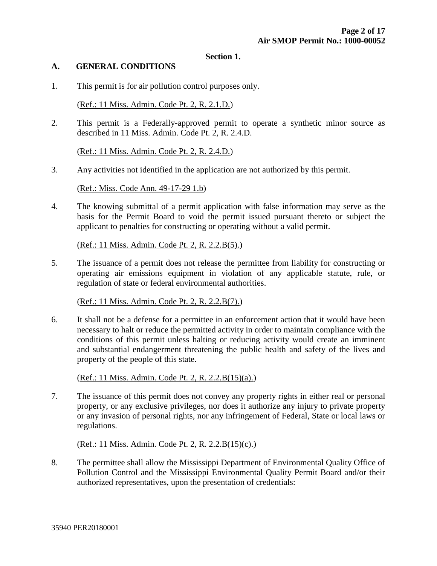#### **Section 1.**

#### **A. GENERAL CONDITIONS**

1. This permit is for air pollution control purposes only.

(Ref.: 11 Miss. Admin. Code Pt. 2, R. 2.1.D.)

2. This permit is a Federally-approved permit to operate a synthetic minor source as described in 11 Miss. Admin. Code Pt. 2, R. 2.4.D.

(Ref.: 11 Miss. Admin. Code Pt. 2, R. 2.4.D.)

3. Any activities not identified in the application are not authorized by this permit.

(Ref.: Miss. Code Ann. 49-17-29 1.b)

4. The knowing submittal of a permit application with false information may serve as the basis for the Permit Board to void the permit issued pursuant thereto or subject the applicant to penalties for constructing or operating without a valid permit.

(Ref.: 11 Miss. Admin. Code Pt. 2, R. 2.2.B(5).)

5. The issuance of a permit does not release the permittee from liability for constructing or operating air emissions equipment in violation of any applicable statute, rule, or regulation of state or federal environmental authorities.

(Ref.: 11 Miss. Admin. Code Pt. 2, R. 2.2.B(7).)

6. It shall not be a defense for a permittee in an enforcement action that it would have been necessary to halt or reduce the permitted activity in order to maintain compliance with the conditions of this permit unless halting or reducing activity would create an imminent and substantial endangerment threatening the public health and safety of the lives and property of the people of this state.

(Ref.: 11 Miss. Admin. Code Pt. 2, R. 2.2.B(15)(a).)

7. The issuance of this permit does not convey any property rights in either real or personal property, or any exclusive privileges, nor does it authorize any injury to private property or any invasion of personal rights, nor any infringement of Federal, State or local laws or regulations.

(Ref.: 11 Miss. Admin. Code Pt. 2, R. 2.2.B(15)(c).)

8. The permittee shall allow the Mississippi Department of Environmental Quality Office of Pollution Control and the Mississippi Environmental Quality Permit Board and/or their authorized representatives, upon the presentation of credentials: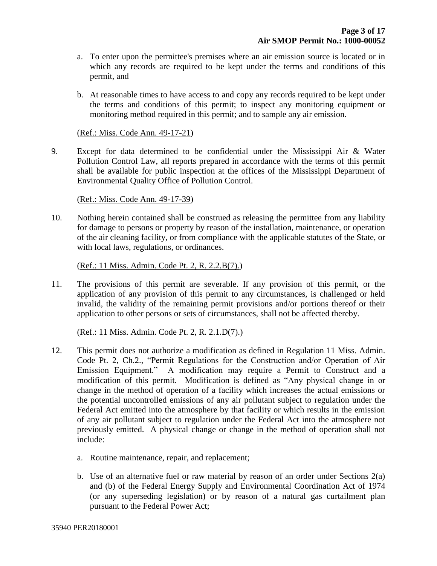- a. To enter upon the permittee's premises where an air emission source is located or in which any records are required to be kept under the terms and conditions of this permit, and
- b. At reasonable times to have access to and copy any records required to be kept under the terms and conditions of this permit; to inspect any monitoring equipment or monitoring method required in this permit; and to sample any air emission.

#### (Ref.: Miss. Code Ann. 49-17-21)

9. Except for data determined to be confidential under the Mississippi Air & Water Pollution Control Law, all reports prepared in accordance with the terms of this permit shall be available for public inspection at the offices of the Mississippi Department of Environmental Quality Office of Pollution Control.

(Ref.: Miss. Code Ann. 49-17-39)

10. Nothing herein contained shall be construed as releasing the permittee from any liability for damage to persons or property by reason of the installation, maintenance, or operation of the air cleaning facility, or from compliance with the applicable statutes of the State, or with local laws, regulations, or ordinances.

(Ref.: 11 Miss. Admin. Code Pt. 2, R. 2.2.B(7).)

11. The provisions of this permit are severable. If any provision of this permit, or the application of any provision of this permit to any circumstances, is challenged or held invalid, the validity of the remaining permit provisions and/or portions thereof or their application to other persons or sets of circumstances, shall not be affected thereby.

(Ref.: 11 Miss. Admin. Code Pt. 2, R. 2.1.D(7).)

- 12. This permit does not authorize a modification as defined in Regulation 11 Miss. Admin. Code Pt. 2, Ch.2., "Permit Regulations for the Construction and/or Operation of Air Emission Equipment." A modification may require a Permit to Construct and a modification of this permit. Modification is defined as "Any physical change in or change in the method of operation of a facility which increases the actual emissions or the potential uncontrolled emissions of any air pollutant subject to regulation under the Federal Act emitted into the atmosphere by that facility or which results in the emission of any air pollutant subject to regulation under the Federal Act into the atmosphere not previously emitted. A physical change or change in the method of operation shall not include:
	- a. Routine maintenance, repair, and replacement;
	- b. Use of an alternative fuel or raw material by reason of an order under Sections 2(a) and (b) of the Federal Energy Supply and Environmental Coordination Act of 1974 (or any superseding legislation) or by reason of a natural gas curtailment plan pursuant to the Federal Power Act;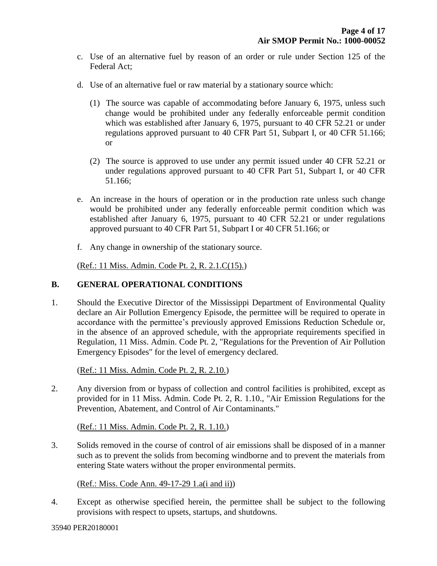- c. Use of an alternative fuel by reason of an order or rule under Section 125 of the Federal Act;
- d. Use of an alternative fuel or raw material by a stationary source which:
	- (1) The source was capable of accommodating before January 6, 1975, unless such change would be prohibited under any federally enforceable permit condition which was established after January 6, 1975, pursuant to 40 CFR 52.21 or under regulations approved pursuant to 40 CFR Part 51, Subpart I, or 40 CFR 51.166; or
	- (2) The source is approved to use under any permit issued under 40 CFR 52.21 or under regulations approved pursuant to 40 CFR Part 51, Subpart I, or 40 CFR 51.166;
- e. An increase in the hours of operation or in the production rate unless such change would be prohibited under any federally enforceable permit condition which was established after January 6, 1975, pursuant to 40 CFR 52.21 or under regulations approved pursuant to 40 CFR Part 51, Subpart I or 40 CFR 51.166; or
- f. Any change in ownership of the stationary source.

(Ref.: 11 Miss. Admin. Code Pt. 2, R. 2.1.C(15).)

#### **B. GENERAL OPERATIONAL CONDITIONS**

1. Should the Executive Director of the Mississippi Department of Environmental Quality declare an Air Pollution Emergency Episode, the permittee will be required to operate in accordance with the permittee's previously approved Emissions Reduction Schedule or, in the absence of an approved schedule, with the appropriate requirements specified in Regulation, 11 Miss. Admin. Code Pt. 2, "Regulations for the Prevention of Air Pollution Emergency Episodes" for the level of emergency declared.

(Ref.: 11 Miss. Admin. Code Pt. 2, R. 2.10.)

2. Any diversion from or bypass of collection and control facilities is prohibited, except as provided for in 11 Miss. Admin. Code Pt. 2, R. 1.10., "Air Emission Regulations for the Prevention, Abatement, and Control of Air Contaminants."

(Ref.: 11 Miss. Admin. Code Pt. 2, R. 1.10.)

3. Solids removed in the course of control of air emissions shall be disposed of in a manner such as to prevent the solids from becoming windborne and to prevent the materials from entering State waters without the proper environmental permits.

(Ref.: Miss. Code Ann. 49-17-29 1.a(i and ii))

4. Except as otherwise specified herein, the permittee shall be subject to the following provisions with respect to upsets, startups, and shutdowns.

35940 PER20180001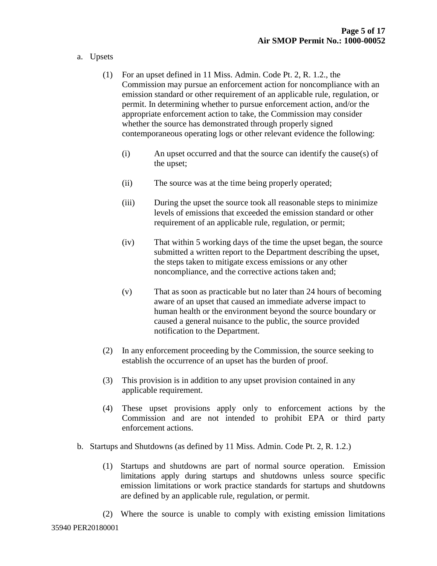- a. Upsets
	- (1) For an upset defined in 11 Miss. Admin. Code Pt. 2, R. 1.2., the Commission may pursue an enforcement action for noncompliance with an emission standard or other requirement of an applicable rule, regulation, or permit. In determining whether to pursue enforcement action, and/or the appropriate enforcement action to take, the Commission may consider whether the source has demonstrated through properly signed contemporaneous operating logs or other relevant evidence the following:
		- (i) An upset occurred and that the source can identify the cause(s) of the upset;
		- (ii) The source was at the time being properly operated;
		- (iii) During the upset the source took all reasonable steps to minimize levels of emissions that exceeded the emission standard or other requirement of an applicable rule, regulation, or permit;
		- (iv) That within 5 working days of the time the upset began, the source submitted a written report to the Department describing the upset, the steps taken to mitigate excess emissions or any other noncompliance, and the corrective actions taken and;
		- (v) That as soon as practicable but no later than 24 hours of becoming aware of an upset that caused an immediate adverse impact to human health or the environment beyond the source boundary or caused a general nuisance to the public, the source provided notification to the Department.
	- (2) In any enforcement proceeding by the Commission, the source seeking to establish the occurrence of an upset has the burden of proof.
	- (3) This provision is in addition to any upset provision contained in any applicable requirement.
	- (4) These upset provisions apply only to enforcement actions by the Commission and are not intended to prohibit EPA or third party enforcement actions.
- b. Startups and Shutdowns (as defined by 11 Miss. Admin. Code Pt. 2, R. 1.2.)
	- (1) Startups and shutdowns are part of normal source operation. Emission limitations apply during startups and shutdowns unless source specific emission limitations or work practice standards for startups and shutdowns are defined by an applicable rule, regulation, or permit.
	- (2) Where the source is unable to comply with existing emission limitations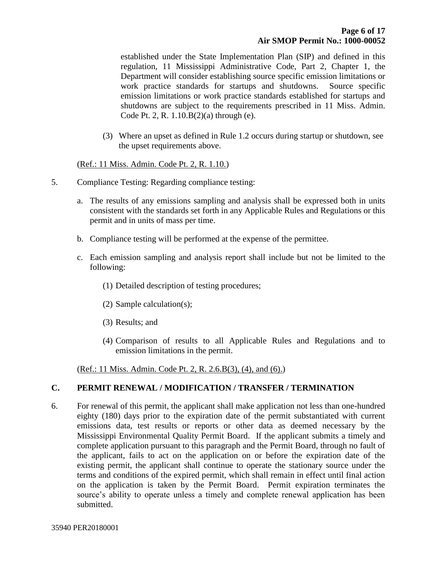established under the State Implementation Plan (SIP) and defined in this regulation, 11 Mississippi Administrative Code, Part 2, Chapter 1, the Department will consider establishing source specific emission limitations or work practice standards for startups and shutdowns. Source specific emission limitations or work practice standards established for startups and shutdowns are subject to the requirements prescribed in 11 Miss. Admin. Code Pt. 2, R. 1.10.B(2)(a) through (e).

(3) Where an upset as defined in Rule 1.2 occurs during startup or shutdown, see the upset requirements above.

(Ref.: 11 Miss. Admin. Code Pt. 2, R. 1.10.)

- 5. Compliance Testing: Regarding compliance testing:
	- a. The results of any emissions sampling and analysis shall be expressed both in units consistent with the standards set forth in any Applicable Rules and Regulations or this permit and in units of mass per time.
	- b. Compliance testing will be performed at the expense of the permittee.
	- c. Each emission sampling and analysis report shall include but not be limited to the following:
		- (1) Detailed description of testing procedures;
		- (2) Sample calculation(s);
		- (3) Results; and
		- (4) Comparison of results to all Applicable Rules and Regulations and to emission limitations in the permit.

(Ref.: 11 Miss. Admin. Code Pt. 2, R. 2.6.B(3), (4), and (6).)

#### **C. PERMIT RENEWAL / MODIFICATION / TRANSFER / TERMINATION**

6. For renewal of this permit, the applicant shall make application not less than one-hundred eighty (180) days prior to the expiration date of the permit substantiated with current emissions data, test results or reports or other data as deemed necessary by the Mississippi Environmental Quality Permit Board. If the applicant submits a timely and complete application pursuant to this paragraph and the Permit Board, through no fault of the applicant, fails to act on the application on or before the expiration date of the existing permit, the applicant shall continue to operate the stationary source under the terms and conditions of the expired permit, which shall remain in effect until final action on the application is taken by the Permit Board. Permit expiration terminates the source's ability to operate unless a timely and complete renewal application has been submitted.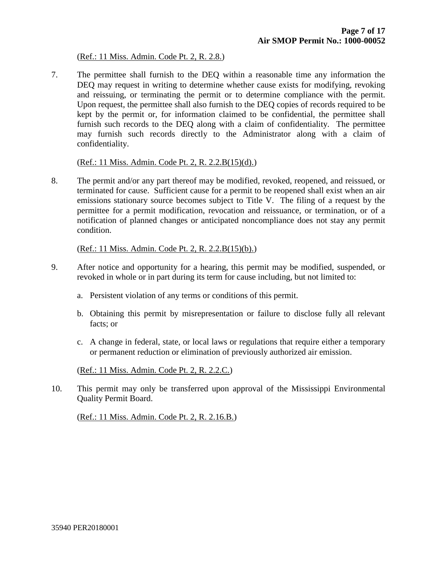#### (Ref.: 11 Miss. Admin. Code Pt. 2, R. 2.8.)

7. The permittee shall furnish to the DEQ within a reasonable time any information the DEQ may request in writing to determine whether cause exists for modifying, revoking and reissuing, or terminating the permit or to determine compliance with the permit. Upon request, the permittee shall also furnish to the DEQ copies of records required to be kept by the permit or, for information claimed to be confidential, the permittee shall furnish such records to the DEQ along with a claim of confidentiality. The permittee may furnish such records directly to the Administrator along with a claim of confidentiality.

#### (Ref.: 11 Miss. Admin. Code Pt. 2, R. 2.2.B(15)(d).)

8. The permit and/or any part thereof may be modified, revoked, reopened, and reissued, or terminated for cause. Sufficient cause for a permit to be reopened shall exist when an air emissions stationary source becomes subject to Title V. The filing of a request by the permittee for a permit modification, revocation and reissuance, or termination, or of a notification of planned changes or anticipated noncompliance does not stay any permit condition.

(Ref.: 11 Miss. Admin. Code Pt. 2, R. 2.2.B(15)(b).)

- 9. After notice and opportunity for a hearing, this permit may be modified, suspended, or revoked in whole or in part during its term for cause including, but not limited to:
	- a. Persistent violation of any terms or conditions of this permit.
	- b. Obtaining this permit by misrepresentation or failure to disclose fully all relevant facts; or
	- c. A change in federal, state, or local laws or regulations that require either a temporary or permanent reduction or elimination of previously authorized air emission.

(Ref.: 11 Miss. Admin. Code Pt. 2, R. 2.2.C.)

10. This permit may only be transferred upon approval of the Mississippi Environmental Quality Permit Board.

(Ref.: 11 Miss. Admin. Code Pt. 2, R. 2.16.B.)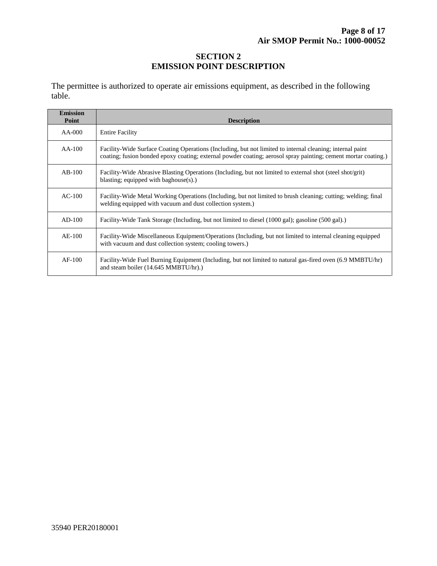#### **SECTION 2 EMISSION POINT DESCRIPTION**

The permittee is authorized to operate air emissions equipment, as described in the following table.

| <b>Emission</b><br>Point | <b>Description</b>                                                                                                                                                                                                          |
|--------------------------|-----------------------------------------------------------------------------------------------------------------------------------------------------------------------------------------------------------------------------|
| AA-000                   | <b>Entire Facility</b>                                                                                                                                                                                                      |
| $AA-100$                 | Facility-Wide Surface Coating Operations (Including, but not limited to internal cleaning; internal paint<br>coating; fusion bonded epoxy coating; external powder coating; aerosol spray painting; cement mortar coating.) |
| $AB-100$                 | Facility-Wide Abrasive Blasting Operations (Including, but not limited to external shot (steel shot/grit)<br>blasting; equipped with baghouse(s).)                                                                          |
| $AC-100$                 | Facility-Wide Metal Working Operations (Including, but not limited to brush cleaning; cutting; welding; final<br>welding equipped with vacuum and dust collection system.)                                                  |
| $AD-100$                 | Facility-Wide Tank Storage (Including, but not limited to diesel (1000 gal); gasoline (500 gal).)                                                                                                                           |
| $AE-100$                 | Facility-Wide Miscellaneous Equipment/Operations (Including, but not limited to internal cleaning equipped<br>with vacuum and dust collection system; cooling towers.)                                                      |
| $AF-100$                 | Facility-Wide Fuel Burning Equipment (Including, but not limited to natural gas-fired oven (6.9 MMBTU/hr)<br>and steam boiler (14.645 MMBTU/hr).)                                                                           |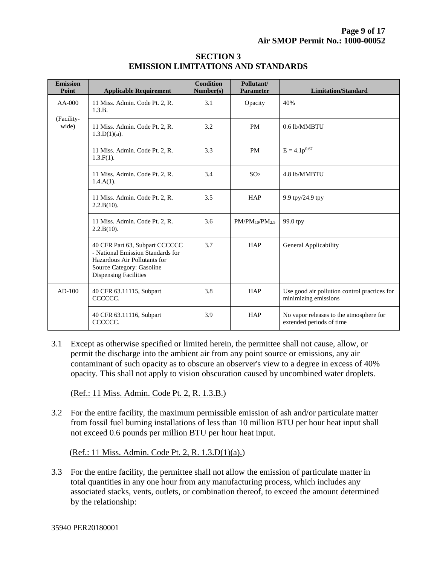| <b>SECTION 3</b>                   |  |  |  |  |
|------------------------------------|--|--|--|--|
| EMISSION LIMITATIONS AND STANDARDS |  |  |  |  |

| <b>Emission</b><br>Point        | <b>Applicable Requirement</b>                                                                                                                                    | <b>Condition</b><br>Number(s) | Pollutant/<br><b>Parameter</b> | <b>Limitation/Standard</b>                                           |
|---------------------------------|------------------------------------------------------------------------------------------------------------------------------------------------------------------|-------------------------------|--------------------------------|----------------------------------------------------------------------|
| $AA-000$<br>(Facility-<br>wide) | 11 Miss. Admin. Code Pt. 2, R.<br>1.3.B.                                                                                                                         | 3.1                           | Opacity                        | 40%                                                                  |
|                                 | 11 Miss. Admin. Code Pt. 2, R.<br>$1.3.D(1)(a)$ .                                                                                                                | 3.2                           | <b>PM</b>                      | 0.6 lb/MMBTU                                                         |
|                                 | 11 Miss. Admin. Code Pt. 2, R.<br>$1.3.F(1)$ .                                                                                                                   | 3.3                           | <b>PM</b>                      | $E = 4.1p^{0.67}$                                                    |
|                                 | 11 Miss. Admin. Code Pt. 2, R.<br>$1.4.A(1)$ .                                                                                                                   | 3.4                           | SO <sub>2</sub>                | 4.8 lb/MMBTU                                                         |
|                                 | 11 Miss. Admin. Code Pt. 2, R.<br>2.2.B(10).                                                                                                                     | 3.5                           | <b>HAP</b>                     | 9.9 tpy/24.9 tpy                                                     |
|                                 | 11 Miss. Admin. Code Pt. 2, R.<br>2.2.B(10).                                                                                                                     | 3.6                           | $PM/PM_{10}/PM_{2.5}$          | 99.0 tpy                                                             |
|                                 | 40 CFR Part 63, Subpart CCCCCC<br>- National Emission Standards for<br>Hazardous Air Pollutants for<br>Source Category: Gasoline<br><b>Dispensing Facilities</b> | 3.7                           | <b>HAP</b>                     | General Applicability                                                |
| $AD-100$                        | 40 CFR 63.11115, Subpart<br>CCCCCC.                                                                                                                              | 3.8                           | <b>HAP</b>                     | Use good air pollution control practices for<br>minimizing emissions |
|                                 | 40 CFR 63.11116, Subpart<br>CCCCCC.                                                                                                                              | 3.9                           | <b>HAP</b>                     | No vapor releases to the atmosphere for<br>extended periods of time  |

3.1 Except as otherwise specified or limited herein, the permittee shall not cause, allow, or permit the discharge into the ambient air from any point source or emissions, any air contaminant of such opacity as to obscure an observer's view to a degree in excess of 40% opacity. This shall not apply to vision obscuration caused by uncombined water droplets.

(Ref.: 11 Miss. Admin. Code Pt. 2, R. 1.3.B.)

3.2 For the entire facility, the maximum permissible emission of ash and/or particulate matter from fossil fuel burning installations of less than 10 million BTU per hour heat input shall not exceed 0.6 pounds per million BTU per hour heat input.

(Ref.: 11 Miss. Admin. Code Pt. 2, R. 1.3.D(1)(a).)

3.3 For the entire facility, the permittee shall not allow the emission of particulate matter in total quantities in any one hour from any manufacturing process, which includes any associated stacks, vents, outlets, or combination thereof, to exceed the amount determined by the relationship:

35940 PER20180001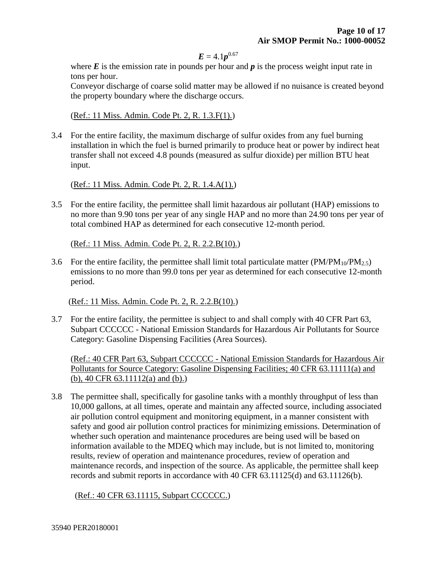#### $E = 4.1p^{0.67}$

where  $E$  is the emission rate in pounds per hour and  $p$  is the process weight input rate in tons per hour.

 Conveyor discharge of coarse solid matter may be allowed if no nuisance is created beyond the property boundary where the discharge occurs.

(Ref.: 11 Miss. Admin. Code Pt. 2, R. 1.3.F(1).)

3.4 For the entire facility, the maximum discharge of sulfur oxides from any fuel burning installation in which the fuel is burned primarily to produce heat or power by indirect heat transfer shall not exceed 4.8 pounds (measured as sulfur dioxide) per million BTU heat input.

(Ref.: 11 Miss. Admin. Code Pt. 2, R. 1.4.A(1).)

3.5 For the entire facility, the permittee shall limit hazardous air pollutant (HAP) emissions to no more than 9.90 tons per year of any single HAP and no more than 24.90 tons per year of total combined HAP as determined for each consecutive 12-month period.

(Ref.: 11 Miss. Admin. Code Pt. 2, R. 2.2.B(10).)

3.6 For the entire facility, the permittee shall limit total particulate matter  $(PM/PM_{10}/PM_{2.5})$ emissions to no more than 99.0 tons per year as determined for each consecutive 12-month period.

(Ref.: 11 Miss. Admin. Code Pt. 2, R. 2.2.B(10).)

3.7 For the entire facility, the permittee is subject to and shall comply with 40 CFR Part 63, Subpart CCCCCC - National Emission Standards for Hazardous Air Pollutants for Source Category: Gasoline Dispensing Facilities (Area Sources).

 (Ref.: 40 CFR Part 63, Subpart CCCCCC - National Emission Standards for Hazardous Air Pollutants for Source Category: Gasoline Dispensing Facilities; 40 CFR 63.11111(a) and (b), 40 CFR 63.11112(a) and (b).)

3.8 The permittee shall, specifically for gasoline tanks with a monthly throughput of less than 10,000 gallons, at all times, operate and maintain any affected source, including associated air pollution control equipment and monitoring equipment, in a manner consistent with safety and good air pollution control practices for minimizing emissions. Determination of whether such operation and maintenance procedures are being used will be based on information available to the MDEQ which may include, but is not limited to, monitoring results, review of operation and maintenance procedures, review of operation and maintenance records, and inspection of the source. As applicable, the permittee shall keep records and submit reports in accordance with 40 CFR 63.11125(d) and 63.11126(b).

(Ref.: 40 CFR 63.11115, Subpart CCCCCC.)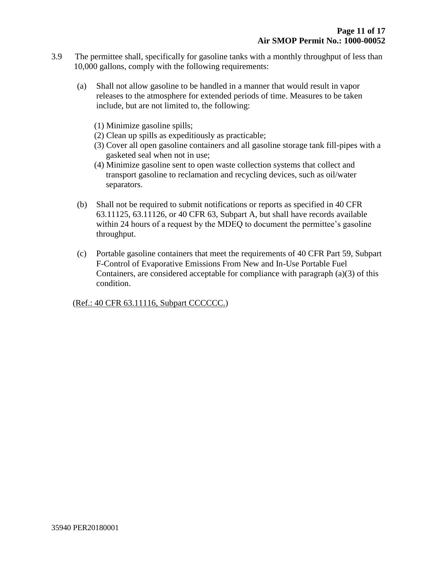- 3.9 The permittee shall, specifically for gasoline tanks with a monthly throughput of less than 10,000 gallons, comply with the following requirements:
	- (a) Shall not allow gasoline to be handled in a manner that would result in vapor releases to the atmosphere for extended periods of time. Measures to be taken include, but are not limited to, the following:
		- (1) Minimize gasoline spills;
		- (2) Clean up spills as expeditiously as practicable;
		- (3) Cover all open gasoline containers and all gasoline storage tank fill-pipes with a gasketed seal when not in use;
		- (4) Minimize gasoline sent to open waste collection systems that collect and transport gasoline to reclamation and recycling devices, such as oil/water separators.
	- (b) Shall not be required to submit notifications or reports as specified in 40 CFR 63.11125, 63.11126, or 40 CFR 63, Subpart A, but shall have records available within 24 hours of a request by the MDEQ to document the permittee's gasoline throughput.
	- (c) Portable gasoline containers that meet the requirements of 40 CFR Part 59, Subpart F-Control of Evaporative Emissions From New and In-Use Portable Fuel Containers, are considered acceptable for compliance with paragraph (a)(3) of this condition.

(Ref.: 40 CFR 63.11116, Subpart CCCCCC.)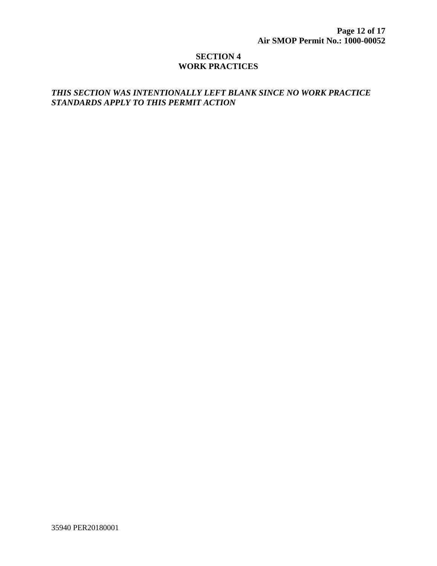#### **SECTION 4 WORK PRACTICES**

#### *THIS SECTION WAS INTENTIONALLY LEFT BLANK SINCE NO WORK PRACTICE STANDARDS APPLY TO THIS PERMIT ACTION*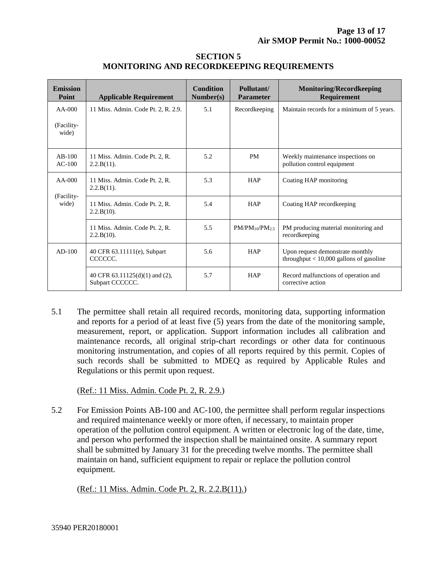| <b>SECTION 5</b>                                 |
|--------------------------------------------------|
| <b>MONITORING AND RECORDKEEPING REQUIREMENTS</b> |

| <b>Emission</b><br>Point        | <b>Applicable Requirement</b>                     | <b>Condition</b><br>Number(s) | Pollutant/<br><b>Parameter</b> | <b>Monitoring/Recordkeeping</b><br>Requirement                                |
|---------------------------------|---------------------------------------------------|-------------------------------|--------------------------------|-------------------------------------------------------------------------------|
| $AA-000$                        | 11 Miss. Admin. Code Pt. 2, R. 2.9.               | 5.1                           | Recordkeeping                  | Maintain records for a minimum of 5 years.                                    |
| (Facility-<br>wide)             |                                                   |                               |                                |                                                                               |
| $AB-100$<br>$AC-100$            | 11 Miss. Admin. Code Pt. 2, R.<br>$2.2.B(11)$ .   | 5.2                           | <b>PM</b>                      | Weekly maintenance inspections on<br>pollution control equipment              |
| $AA-000$<br>(Facility-<br>wide) | 11 Miss. Admin. Code Pt. 2, R.<br>$2.2.B(11)$ .   | 5.3                           | <b>HAP</b>                     | Coating HAP monitoring                                                        |
|                                 | 11 Miss. Admin. Code Pt. 2, R.<br>$2.2.B(10)$ .   | 5.4                           | <b>HAP</b>                     | Coating HAP record keeping                                                    |
|                                 | 11 Miss. Admin. Code Pt. 2, R.<br>$2.2.B(10)$ .   | 5.5                           | $PM/PM_{10}/PM_{2.5}$          | PM producing material monitoring and<br>recordkeeping                         |
| $AD-100$                        | 40 CFR 63.11111(e), Subpart<br>CCCCCC.            | 5.6                           | <b>HAP</b>                     | Upon request demonstrate monthly<br>throughput $<$ 10,000 gallons of gasoline |
|                                 | 40 CFR 63.11125(d)(1) and (2),<br>Subpart CCCCCC. | 5.7                           | <b>HAP</b>                     | Record malfunctions of operation and<br>corrective action                     |

5.1 The permittee shall retain all required records, monitoring data, supporting information and reports for a period of at least five (5) years from the date of the monitoring sample, measurement, report, or application. Support information includes all calibration and maintenance records, all original strip-chart recordings or other data for continuous monitoring instrumentation, and copies of all reports required by this permit. Copies of such records shall be submitted to MDEQ as required by Applicable Rules and Regulations or this permit upon request.

(Ref.: 11 Miss. Admin. Code Pt. 2, R. 2.9.)

5.2For Emission Points AB-100 and AC-100, the permittee shall perform regular inspections and required maintenance weekly or more often, if necessary, to maintain proper operation of the pollution control equipment. A written or electronic log of the date, time, and person who performed the inspection shall be maintained onsite. A summary report shall be submitted by January 31 for the preceding twelve months. The permittee shall maintain on hand, sufficient equipment to repair or replace the pollution control equipment.

(Ref.: 11 Miss. Admin. Code Pt. 2, R. 2.2.B(11).)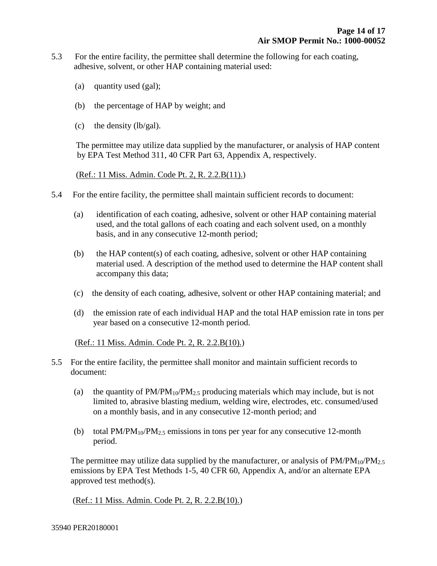- 5.3 For the entire facility, the permittee shall determine the following for each coating, adhesive, solvent, or other HAP containing material used:
	- (a) quantity used (gal);
	- (b) the percentage of HAP by weight; and
	- (c) the density (lb/gal).

 The permittee may utilize data supplied by the manufacturer, or analysis of HAP content by EPA Test Method 311, 40 CFR Part 63, Appendix A, respectively.

(Ref.: 11 Miss. Admin. Code Pt. 2, R. 2.2.B(11).)

- 5.4 For the entire facility, the permittee shall maintain sufficient records to document:
	- (a) identification of each coating, adhesive, solvent or other HAP containing material used, and the total gallons of each coating and each solvent used, on a monthly basis, and in any consecutive 12-month period;
	- (b) the HAP content(s) of each coating, adhesive, solvent or other HAP containing material used. A description of the method used to determine the HAP content shall accompany this data;
	- (c) the density of each coating, adhesive, solvent or other HAP containing material; and
	- (d) the emission rate of each individual HAP and the total HAP emission rate in tons per year based on a consecutive 12-month period.

#### (Ref.: 11 Miss. Admin. Code Pt. 2, R. 2.2.B(10).)

- 5.5 For the entire facility, the permittee shall monitor and maintain sufficient records to document:
	- (a) the quantity of  $PM/PM_{10}/PM_{2.5}$  producing materials which may include, but is not limited to, abrasive blasting medium, welding wire, electrodes, etc. consumed/used on a monthly basis, and in any consecutive 12-month period; and
	- (b) total  $PM/PM_{10}/PM_{2.5}$  emissions in tons per year for any consecutive 12-month period.

The permittee may utilize data supplied by the manufacturer, or analysis of  $PM/PM_{10}/PM_{2.5}$ emissions by EPA Test Methods 1-5, 40 CFR 60, Appendix A, and/or an alternate EPA approved test method(s).

(Ref.: 11 Miss. Admin. Code Pt. 2, R. 2.2.B(10).)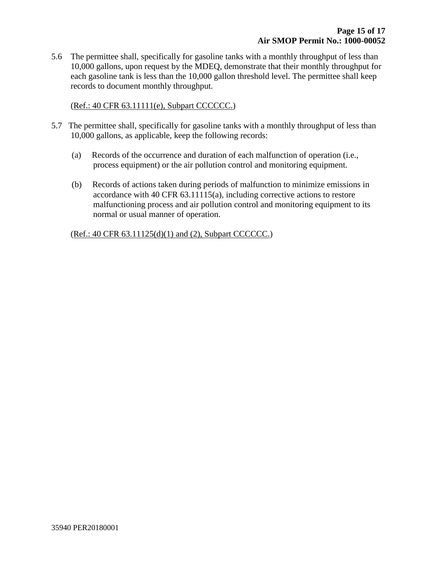5.6 The permittee shall, specifically for gasoline tanks with a monthly throughput of less than 10,000 gallons, upon request by the MDEQ, demonstrate that their monthly throughput for each gasoline tank is less than the 10,000 gallon threshold level. The permittee shall keep records to document monthly throughput.

(Ref.: 40 CFR 63.11111(e), Subpart CCCCCC.)

- 5.7 The permittee shall, specifically for gasoline tanks with a monthly throughput of less than 10,000 gallons, as applicable, keep the following records:
	- (a) Records of the occurrence and duration of each malfunction of operation (i.e., process equipment) or the air pollution control and monitoring equipment.
	- (b) Records of actions taken during periods of malfunction to minimize emissions in accordance with 40 CFR 63.11115(a), including corrective actions to restore malfunctioning process and air pollution control and monitoring equipment to its normal or usual manner of operation.

(Ref.: 40 CFR 63.11125(d)(1) and (2), Subpart CCCCCC.)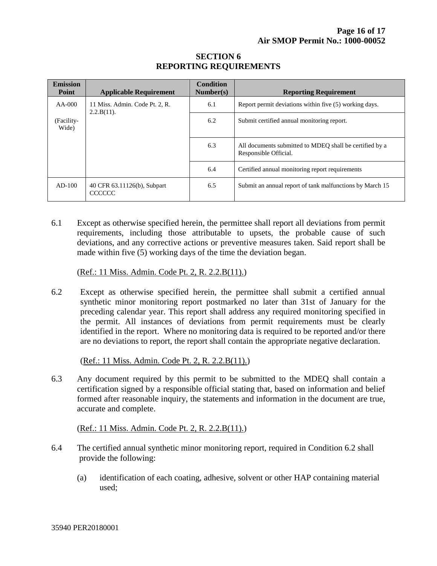#### **SECTION 6 REPORTING REQUIREMENTS**

| <b>Emission</b><br><b>Point</b>                             | <b>Applicable Requirement</b>                | <b>Condition</b><br>Number(s) | <b>Reporting Requirement</b>                                                     |
|-------------------------------------------------------------|----------------------------------------------|-------------------------------|----------------------------------------------------------------------------------|
| $AA-000$<br>11 Miss. Admin. Code Pt. 2, R.<br>$2.2.B(11)$ . |                                              | 6.1                           | Report permit deviations within five (5) working days.                           |
| (Facility-<br>Wide)                                         |                                              | 6.2                           | Submit certified annual monitoring report.                                       |
|                                                             |                                              | 6.3                           | All documents submitted to MDEO shall be certified by a<br>Responsible Official. |
|                                                             |                                              | 6.4                           | Certified annual monitoring report requirements                                  |
| $AD-100$                                                    | 40 CFR 63.11126(b), Subpart<br><b>CCCCCC</b> | 6.5                           | Submit an annual report of tank malfunctions by March 15                         |

6.1 Except as otherwise specified herein, the permittee shall report all deviations from permit requirements, including those attributable to upsets, the probable cause of such deviations, and any corrective actions or preventive measures taken. Said report shall be made within five (5) working days of the time the deviation began.

(Ref.: 11 Miss. Admin. Code Pt. 2, R. 2.2.B(11).)

6.2 Except as otherwise specified herein, the permittee shall submit a certified annual synthetic minor monitoring report postmarked no later than 31st of January for the preceding calendar year. This report shall address any required monitoring specified in the permit. All instances of deviations from permit requirements must be clearly identified in the report. Where no monitoring data is required to be reported and/or there are no deviations to report, the report shall contain the appropriate negative declaration.

(Ref.: 11 Miss. Admin. Code Pt. 2, R. 2.2.B(11).)

6.3 Any document required by this permit to be submitted to the MDEQ shall contain a certification signed by a responsible official stating that, based on information and belief formed after reasonable inquiry, the statements and information in the document are true, accurate and complete.

#### (Ref.: 11 Miss. Admin. Code Pt. 2, R. 2.2.B(11).)

- 6.4 The certified annual synthetic minor monitoring report, required in Condition 6.2 shall provide the following:
	- (a) identification of each coating, adhesive, solvent or other HAP containing material used;